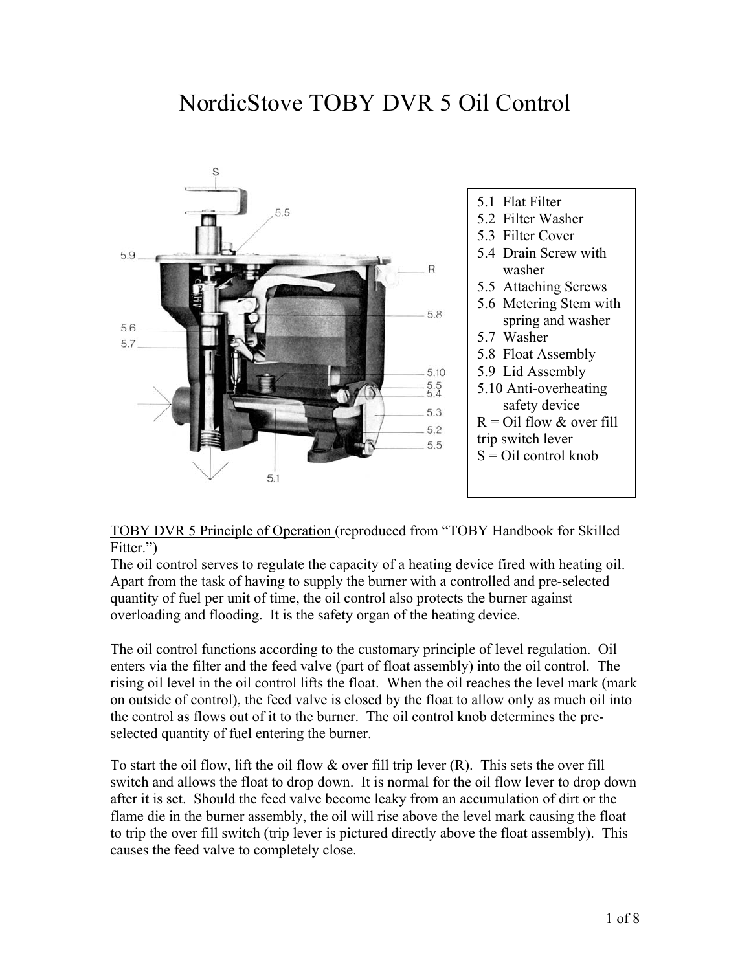# NordicStove TOBY DVR 5 Oil Control



#### TOBY DVR 5 Principle of Operation (reproduced from "TOBY Handbook for Skilled Fitter.")

The oil control serves to regulate the capacity of a heating device fired with heating oil. Apart from the task of having to supply the burner with a controlled and pre-selected quantity of fuel per unit of time, the oil control also protects the burner against overloading and flooding. It is the safety organ of the heating device.

The oil control functions according to the customary principle of level regulation. Oil enters via the filter and the feed valve (part of float assembly) into the oil control. The rising oil level in the oil control lifts the float. When the oil reaches the level mark (mark on outside of control), the feed valve is closed by the float to allow only as much oil into the control as flows out of it to the burner. The oil control knob determines the preselected quantity of fuel entering the burner.

To start the oil flow, lift the oil flow  $\&$  over fill trip lever  $(R)$ . This sets the over fill switch and allows the float to drop down. It is normal for the oil flow lever to drop down after it is set. Should the feed valve become leaky from an accumulation of dirt or the flame die in the burner assembly, the oil will rise above the level mark causing the float to trip the over fill switch (trip lever is pictured directly above the float assembly). This causes the feed valve to completely close.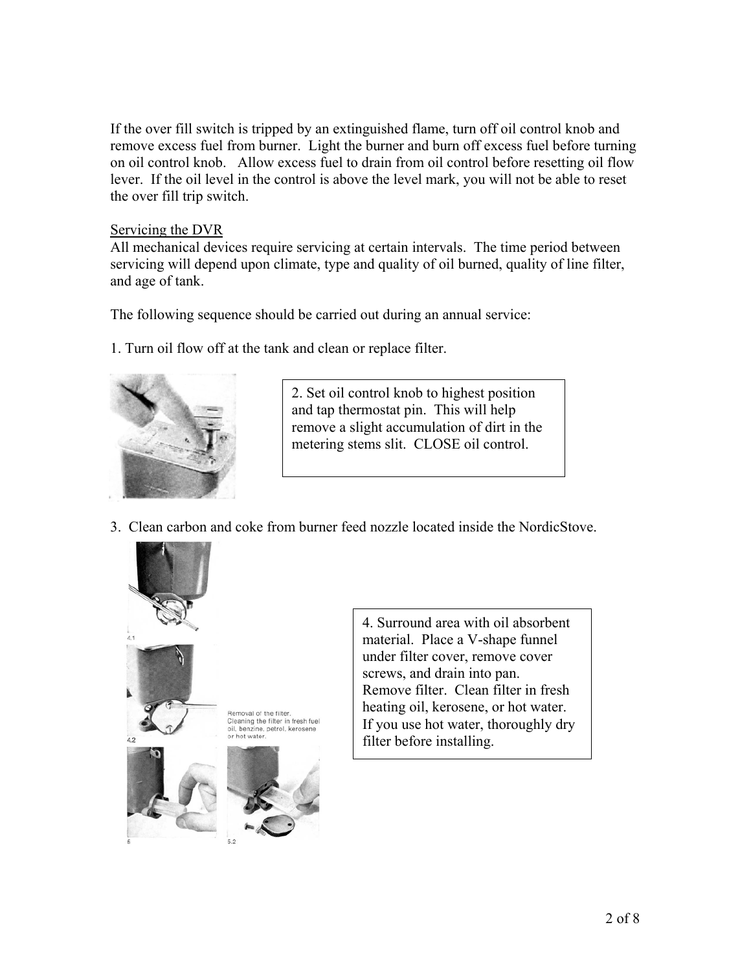If the over fill switch is tripped by an extinguished flame, turn off oil control knob and remove excess fuel from burner. Light the burner and burn off excess fuel before turning on oil control knob. Allow excess fuel to drain from oil control before resetting oil flow lever. If the oil level in the control is above the level mark, you will not be able to reset the over fill trip switch.

#### Servicing the DVR

All mechanical devices require servicing at certain intervals. The time period between servicing will depend upon climate, type and quality of oil burned, quality of line filter, and age of tank.

The following sequence should be carried out during an annual service:

1. Turn oil flow off at the tank and clean or replace filter.



2. Set oil control knob to highest position and tap thermostat pin. This will help remove a slight accumulation of dirt in the metering stems slit. CLOSE oil control.

3. Clean carbon and coke from burner feed nozzle located inside the NordicStove.



4. Surround area with oil absorbent material. Place a V-shape funnel under filter cover, remove cover screws, and drain into pan. Remove filter. Clean filter in fresh heating oil, kerosene, or hot water. If you use hot water, thoroughly dry filter before installing.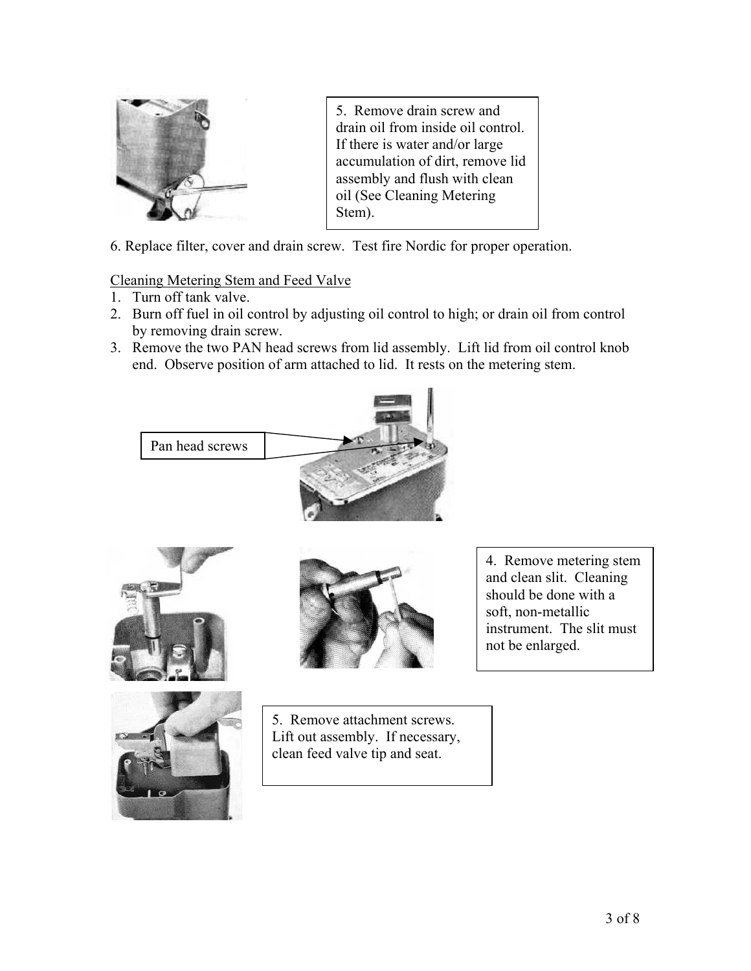

5. Remove drain screw and drain oil from inside oil control. If there is water and/or large accumulation of dirt, remove lid assembly and flush with clean oil (See Cleaning Metering Stem).

6. Replace filter, cover and drain screw. Test fire Nordic for proper operation.

## Cleaning Metering Stem and Feed Valve

- 1. Turn off tank valve.
- 2. Burn off fuel in oil control by adjusting oil control to high; or drain oil from control by removing drain screw.
- 3. Remove the two PAN head screws from lid assembly. Lift lid from oil control knob end. Observe position of arm attached to lid. It rests on the metering stem.









5. Remove attachment screws. Lift out assembly. If necessary, clean feed valve tip and seat.

4. Remove metering stem and clean slit. Cleaning should be done with a soft, non-metallic instrument. The slit must not be enlarged.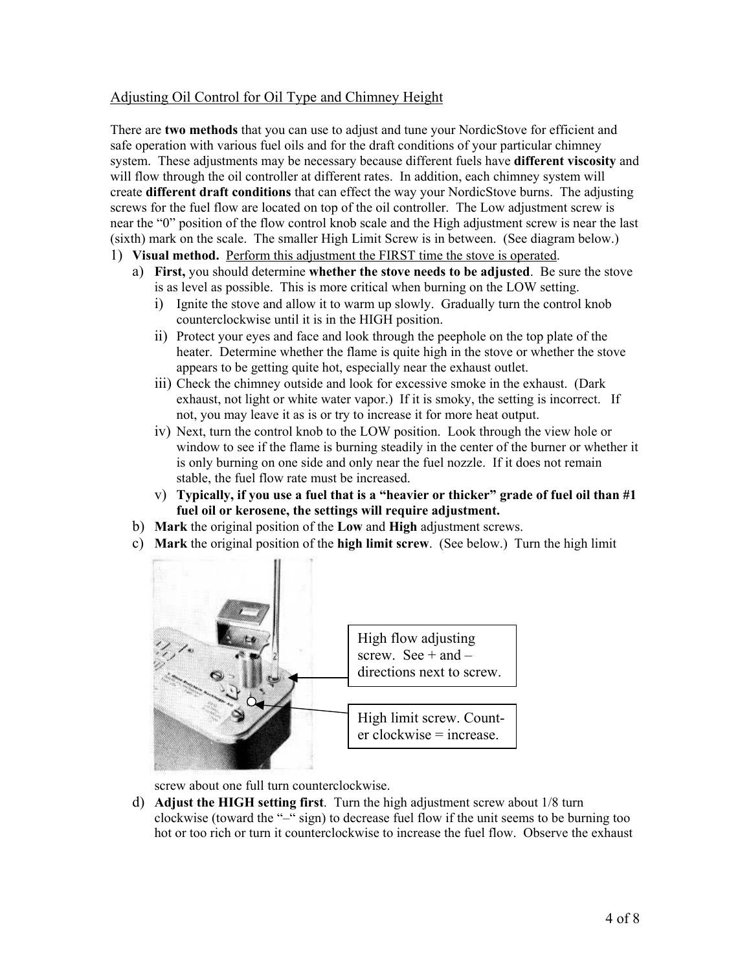### Adjusting Oil Control for Oil Type and Chimney Height

There are **two methods** that you can use to adjust and tune your NordicStove for efficient and safe operation with various fuel oils and for the draft conditions of your particular chimney system. These adjustments may be necessary because different fuels have **different viscosity** and will flow through the oil controller at different rates. In addition, each chimney system will create **different draft conditions** that can effect the way your NordicStove burns. The adjusting screws for the fuel flow are located on top of the oil controller. The Low adjustment screw is near the "0" position of the flow control knob scale and the High adjustment screw is near the last (sixth) mark on the scale. The smaller High Limit Screw is in between. (See diagram below.)

- 1) **Visual method.** Perform this adjustment the FIRST time the stove is operated.
	- a) **First,** you should determine **whether the stove needs to be adjusted**. Be sure the stove is as level as possible. This is more critical when burning on the LOW setting.
		- i) Ignite the stove and allow it to warm up slowly. Gradually turn the control knob counterclockwise until it is in the HIGH position.
		- ii) Protect your eyes and face and look through the peephole on the top plate of the heater. Determine whether the flame is quite high in the stove or whether the stove appears to be getting quite hot, especially near the exhaust outlet.
		- iii) Check the chimney outside and look for excessive smoke in the exhaust. (Dark exhaust, not light or white water vapor.) If it is smoky, the setting is incorrect. If not, you may leave it as is or try to increase it for more heat output.
		- iv) Next, turn the control knob to the LOW position. Look through the view hole or window to see if the flame is burning steadily in the center of the burner or whether it is only burning on one side and only near the fuel nozzle. If it does not remain stable, the fuel flow rate must be increased.
		- v) **Typically, if you use a fuel that is a "heavier or thicker" grade of fuel oil than #1 fuel oil or kerosene, the settings will require adjustment.**
	- b) **Mark** the original position of the **Low** and **High** adjustment screws.
	- c) **Mark** the original position of the **high limit screw**. (See below.) Turn the high limit



screw about one full turn counterclockwise.

d) **Adjust the HIGH setting first**. Turn the high adjustment screw about 1/8 turn clockwise (toward the "–" sign) to decrease fuel flow if the unit seems to be burning too hot or too rich or turn it counterclockwise to increase the fuel flow. Observe the exhaust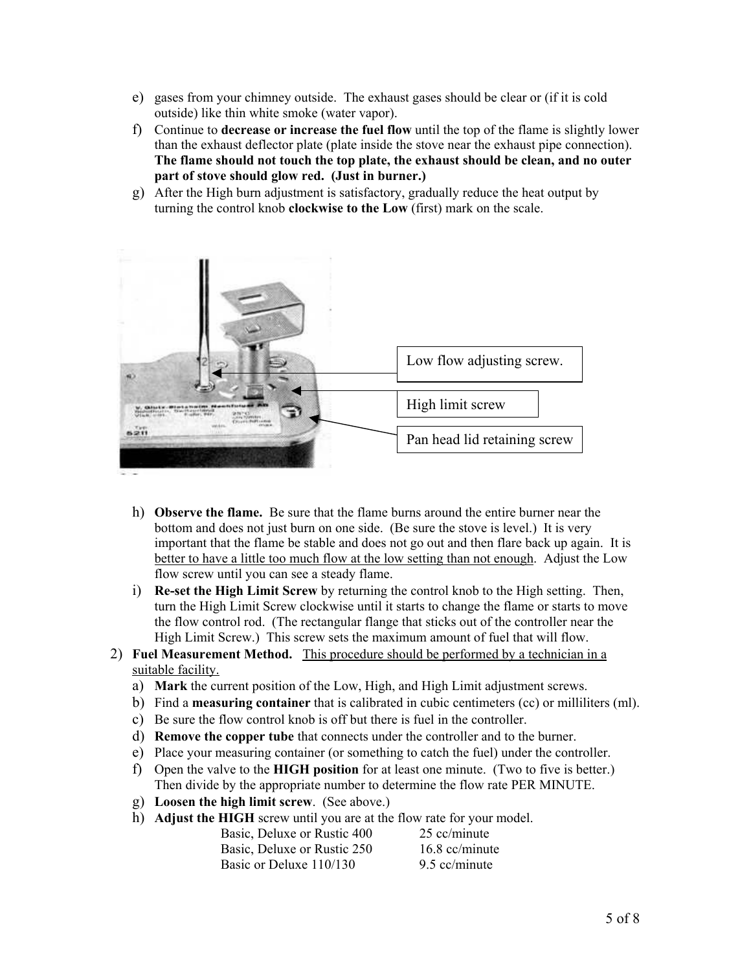- e) gases from your chimney outside. The exhaust gases should be clear or (if it is cold outside) like thin white smoke (water vapor).
- f) Continue to **decrease or increase the fuel flow** until the top of the flame is slightly lower than the exhaust deflector plate (plate inside the stove near the exhaust pipe connection). **The flame should not touch the top plate, the exhaust should be clean, and no outer part of stove should glow red. (Just in burner.)**
- g) After the High burn adjustment is satisfactory, gradually reduce the heat output by turning the control knob **clockwise to the Low** (first) mark on the scale.



- h) **Observe the flame.** Be sure that the flame burns around the entire burner near the bottom and does not just burn on one side. (Be sure the stove is level.) It is very important that the flame be stable and does not go out and then flare back up again. It is better to have a little too much flow at the low setting than not enough. Adjust the Low flow screw until you can see a steady flame.
- i) **Re-set the High Limit Screw** by returning the control knob to the High setting. Then, turn the High Limit Screw clockwise until it starts to change the flame or starts to move the flow control rod. (The rectangular flange that sticks out of the controller near the High Limit Screw.) This screw sets the maximum amount of fuel that will flow.
- 2) **Fuel Measurement Method.** This procedure should be performed by a technician in a suitable facility.
	- a) **Mark** the current position of the Low, High, and High Limit adjustment screws.
	- b) Find a **measuring container** that is calibrated in cubic centimeters (cc) or milliliters (ml).
	- c) Be sure the flow control knob is off but there is fuel in the controller.
	- d) **Remove the copper tube** that connects under the controller and to the burner.
	- e) Place your measuring container (or something to catch the fuel) under the controller.
	- f) Open the valve to the **HIGH position** for at least one minute. (Two to five is better.) Then divide by the appropriate number to determine the flow rate PER MINUTE.
	- g) **Loosen the high limit screw**. (See above.)
	- h) **Adjust the HIGH** screw until you are at the flow rate for your model.

| Basic, Deluxe or Rustic 400 | 25 cc/minute     |
|-----------------------------|------------------|
| Basic, Deluxe or Rustic 250 | $16.8$ cc/minute |
| Basic or Deluxe 110/130     | 9.5 cc/minute    |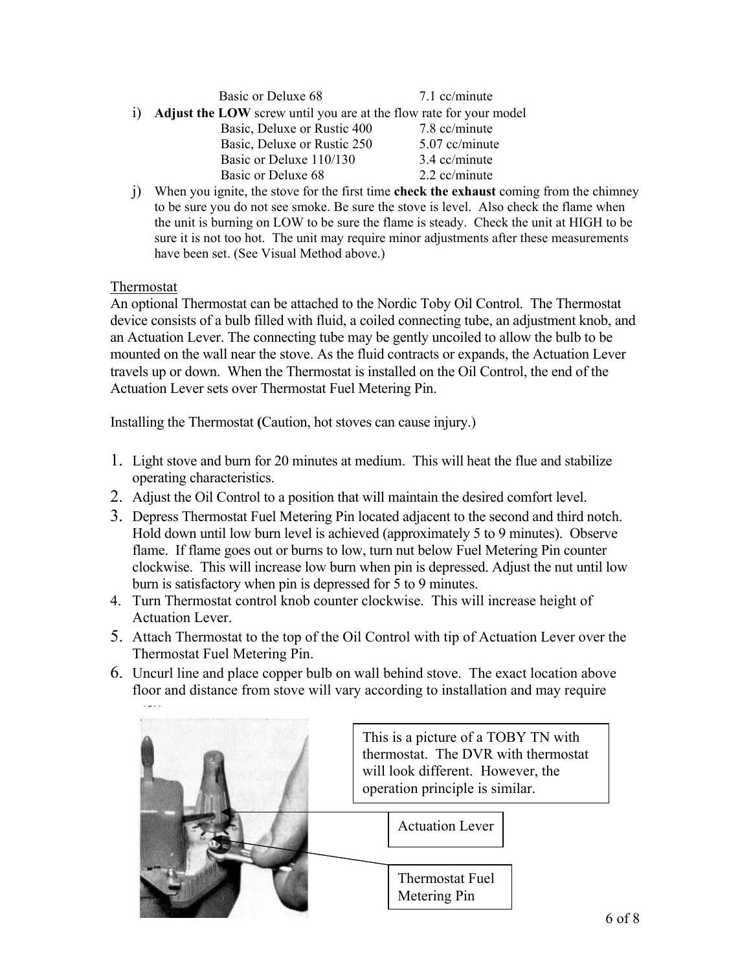| Basic or Deluxe 68 |  | 7.1 cc/minute |
|--------------------|--|---------------|
|                    |  |               |

- i) **Adjust the LOW** screw until you are at the flow rate for your model Basic, Deluxe or Rustic 400 7.8 cc/minute Basic, Deluxe or Rustic 250 5.07 cc/minute Basic or Deluxe 110/130 3.4 cc/minute Basic or Deluxe 68 2.2 cc/minute
	-
- j) When you ignite, the stove for the first time **check the exhaust** coming from the chimney to be sure you do not see smoke. Be sure the stove is level. Also check the flame when the unit is burning on LOW to be sure the flame is steady. Check the unit at HIGH to be sure it is not too hot. The unit may require minor adjustments after these measurements have been set. (See Visual Method above.)

Thermostat

An optional Thermostat can be attached to the Nordic Toby Oil Control. The Thermostat device consists of a bulb filled with fluid, a coiled connecting tube, an adjustment knob, and an Actuation Lever. The connecting tube may be gently uncoiled to allow the bulb to be mounted on the wall near the stove. As the fluid contracts or expands, the Actuation Lever travels up or down. When the Thermostat is installed on the Oil Control, the end of the Actuation Lever sets over Thermostat Fuel Metering Pin.

Installing the Thermostat **(**Caution, hot stoves can cause injury.)

- 1. Light stove and burn for 20 minutes at medium. This will heat the flue and stabilize operating characteristics.
- 2. Adjust the Oil Control to a position that will maintain the desired comfort level.
- 3. Depress Thermostat Fuel Metering Pin located adjacent to the second and third notch. Hold down until low burn level is achieved (approximately 5 to 9 minutes). Observe flame. If flame goes out or burns to low, turn nut below Fuel Metering Pin counter clockwise. This will increase low burn when pin is depressed. Adjust the nut until low burn is satisfactory when pin is depressed for 5 to 9 minutes.
- 4. Turn Thermostat control knob counter clockwise. This will increase height of Actuation Lever.
- 5. Attach Thermostat to the top of the Oil Control with tip of Actuation Lever over the Thermostat Fuel Metering Pin.
- 6. Uncurl line and place copper bulb on wall behind stove. The exact location above floor and distance from stove will vary according to installation and may require

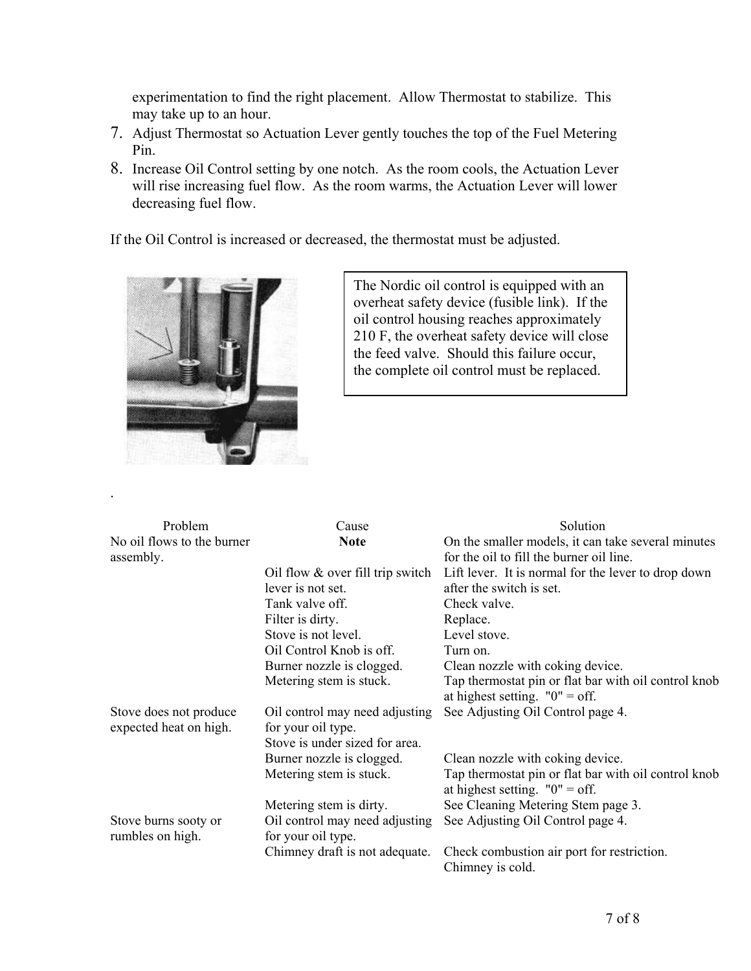experimentation to find the right placement. Allow Thermostat to stabilize. This may take up to an hour.

- 7. Adjust Thermostat so Actuation Lever gently touches the top of the Fuel Metering Pin.
- 8. Increase Oil Control setting by one notch. As the room cools, the Actuation Lever will rise increasing fuel flow. As the room warms, the Actuation Lever will lower decreasing fuel flow.

If the Oil Control is increased or decreased, the thermostat must be adjusted.



.

The Nordic oil control is equipped with an overheat safety device (fusible link). If the oil control housing reaches approximately 210 F, the overheat safety device will close the feed valve. Should this failure occur, the complete oil control must be replaced.

| Problem                    | Cause                              | Solution                                                       |
|----------------------------|------------------------------------|----------------------------------------------------------------|
| No oil flows to the burner | <b>Note</b>                        | On the smaller models, it can take several minutes             |
| assembly.                  |                                    | for the oil to fill the burner oil line.                       |
|                            | Oil flow $&$ over fill trip switch | Lift lever. It is normal for the lever to drop down            |
|                            | lever is not set.                  | after the switch is set.                                       |
|                            | Tank valve off.                    | Check valve.                                                   |
|                            | Filter is dirty.                   | Replace.                                                       |
|                            | Stove is not level.                | Level stove.                                                   |
|                            | Oil Control Knob is off.           | Turn on.                                                       |
|                            | Burner nozzle is clogged.          | Clean nozzle with coking device.                               |
|                            | Metering stem is stuck.            | Tap thermostat pin or flat bar with oil control knob           |
|                            |                                    | at highest setting. $"0" = off.$                               |
| Stove does not produce     | Oil control may need adjusting     | See Adjusting Oil Control page 4.                              |
| expected heat on high.     | for your oil type.                 |                                                                |
|                            | Stove is under sized for area.     |                                                                |
|                            | Burner nozzle is clogged.          | Clean nozzle with coking device.                               |
|                            | Metering stem is stuck.            | Tap thermostat pin or flat bar with oil control knob           |
|                            |                                    | at highest setting. $"0" = off.$                               |
|                            | Metering stem is dirty.            | See Cleaning Metering Stem page 3.                             |
| Stove burns sooty or       | Oil control may need adjusting     | See Adjusting Oil Control page 4.                              |
| rumbles on high.           | for your oil type.                 |                                                                |
|                            | Chimney draft is not adequate.     | Check combustion air port for restriction.<br>Chimney is cold. |